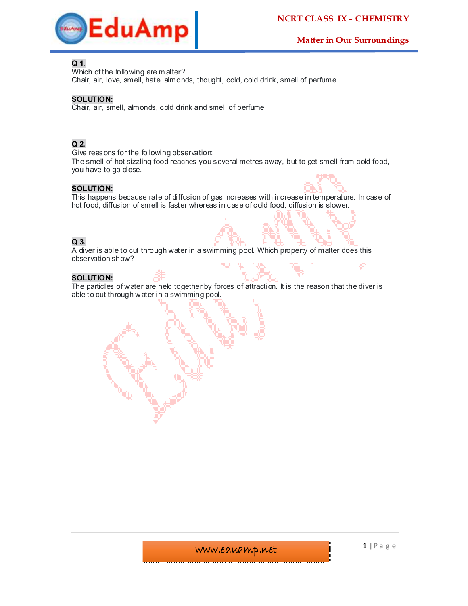

## **Q 1.**

Which of the following are m atter?

Chair, air, love, smell, hate, almonds, thought, cold, cold drink, smell of perfume.

## **SOLUTION:**

Chair, air, smell, almonds, cold drink and smell of perfume

# **Q 2.**

Give reasons for the following observation:

The smell of hot sizzling food reaches you several metres away, but to get smell from cold food, you have to go close.

## **SOLUTION:**

This happens because rate of diffusion of gas increases with increase in temperature. In case of hot food, diffusion of smell is faster whereas in case of cold food, diffusion is slower.

# **Q 3.**

A diver is able to cut through water in a swimming pool. Which property of matter does this observation show?

## **SOLUTION:**

The particles of water are held together by forces of attraction. It is the reason that the diver is able to cut through water in a swimming pool.